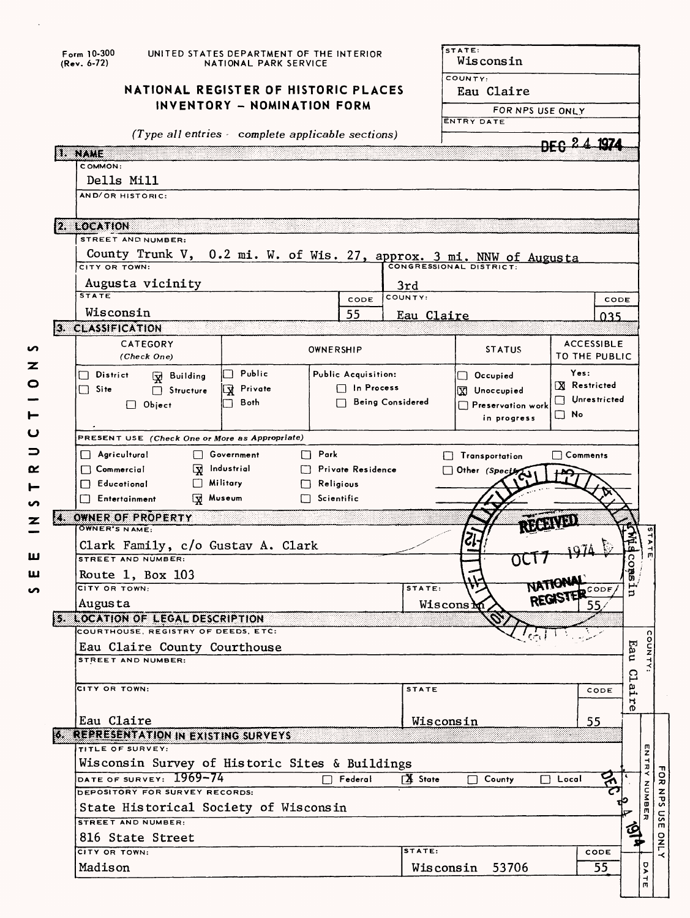|     | Form 10-300<br>(Rev. 6-72)                      | UNITED STATES DEPARTMENT OF THE INTERIOR<br>NATIONAL PARK SERVICE |                                                |                   |                     |                         | STATE:<br>Wisconsin                                                 |                                     |               |  |  |  |
|-----|-------------------------------------------------|-------------------------------------------------------------------|------------------------------------------------|-------------------|---------------------|-------------------------|---------------------------------------------------------------------|-------------------------------------|---------------|--|--|--|
|     | NATIONAL REGISTER OF HISTORIC PLACES            |                                                                   |                                                |                   |                     |                         | COUNTY:<br>Eau Claire                                               |                                     |               |  |  |  |
|     |                                                 | INVENTORY - NOMINATION FORM                                       |                                                |                   |                     |                         | FOR NPS USE ONLY                                                    |                                     |               |  |  |  |
|     | (Type all entries complete applicable sections) |                                                                   |                                                |                   |                     |                         | <b>ENTRY DATE</b>                                                   |                                     |               |  |  |  |
|     |                                                 |                                                                   |                                                |                   |                     |                         |                                                                     |                                     | <u> 1974 </u> |  |  |  |
|     | 1. IVAME<br>COMMON:                             |                                                                   |                                                |                   |                     |                         |                                                                     |                                     |               |  |  |  |
|     | Dells Mill                                      |                                                                   |                                                |                   |                     |                         |                                                                     |                                     |               |  |  |  |
|     | AND/OR HISTORIC:                                |                                                                   |                                                |                   |                     |                         |                                                                     |                                     |               |  |  |  |
|     |                                                 |                                                                   |                                                |                   |                     |                         |                                                                     |                                     |               |  |  |  |
|     | 2. LOCATION                                     |                                                                   |                                                |                   |                     |                         |                                                                     |                                     |               |  |  |  |
|     | STREET AND NUMBER:                              |                                                                   |                                                |                   |                     |                         |                                                                     |                                     |               |  |  |  |
|     | CITY OR TOWN:                                   |                                                                   |                                                |                   |                     |                         | County Trunk V, 0.2 mi. W. of Wis. 27, approx. 3 mi. NNW of Augusta |                                     |               |  |  |  |
|     |                                                 |                                                                   |                                                |                   |                     |                         |                                                                     |                                     |               |  |  |  |
|     | <b>STATE</b>                                    | Augusta vicinity                                                  |                                                |                   | CODE                | 3rd<br>COUNTY:          |                                                                     |                                     | CODE          |  |  |  |
|     | Wisconsin                                       |                                                                   |                                                |                   | 55                  | Eau Claire              |                                                                     |                                     | 035           |  |  |  |
|     | 3. CLASSIFICATION                               |                                                                   |                                                |                   |                     |                         |                                                                     |                                     |               |  |  |  |
|     |                                                 | CATEGORY                                                          |                                                | OWNERSHIP         |                     |                         | <b>STATUS</b>                                                       | <b>ACCESSIBLE</b>                   |               |  |  |  |
|     |                                                 | (Check One)                                                       |                                                |                   |                     |                         | TO THE PUBLIC                                                       |                                     |               |  |  |  |
|     | $\Box$ District                                 | W Building                                                        | ∏ Public                                       |                   | Public Acquisition: |                         | $\Box$ Occupied                                                     | Yes:                                |               |  |  |  |
|     | $\Box$ Site                                     | $\Box$ Structure                                                  | <b>X</b> Private                               |                   | $\Box$ In Process   |                         | X Unoccupied                                                        | <b>X</b> Restricted<br>Unrestricted |               |  |  |  |
|     |                                                 | $\Box$ Object                                                     | <b>Both</b>                                    |                   |                     | <b>Being Considered</b> | $\Box$ Preservation work                                            | $\Box$ No                           |               |  |  |  |
|     |                                                 |                                                                   |                                                |                   |                     |                         | in progress                                                         |                                     |               |  |  |  |
|     |                                                 |                                                                   | PRESENT USE (Check One or More as Appropriate) |                   |                     |                         |                                                                     |                                     |               |  |  |  |
|     | $\Box$ Agricultural                             |                                                                   | □ Government                                   | $\Box$ Park       |                     |                         | Transportation                                                      | $\Box$ Comments                     |               |  |  |  |
|     | $\Box$ Commercial<br>$\Box$ Educational         |                                                                   | $\Box$ Industrial<br>$\Box$ Military           | $\Box$ Religious  | Private Residence   |                         | $\Box$ Other (Spectry                                               |                                     |               |  |  |  |
|     | Entertainment                                   |                                                                   | Wuseum                                         | $\Box$ Scientific |                     |                         |                                                                     |                                     |               |  |  |  |
| ZB. | OWNER OF PROPERTY                               |                                                                   |                                                |                   |                     |                         |                                                                     |                                     |               |  |  |  |
|     | OWNER'S NAME:                                   |                                                                   |                                                |                   |                     |                         |                                                                     |                                     |               |  |  |  |
|     |                                                 |                                                                   | Clark Family, c/o Gustav A. Clark              |                   |                     |                         |                                                                     |                                     | 횭             |  |  |  |
|     | STREET AND NUMBER:                              |                                                                   |                                                |                   |                     |                         |                                                                     |                                     | <b>CORS</b>   |  |  |  |
|     |                                                 | Route 1, Box 103                                                  |                                                |                   |                     |                         |                                                                     | <b>NATIONAL</b>                     |               |  |  |  |
|     | сіту ов томм:<br>Augusta                        |                                                                   |                                                |                   |                     | <b>STATE:</b>           | Wiscons $M$                                                         | REGISTER CODE<br>55.                | Þ             |  |  |  |
|     |                                                 | 5. LOCATION OF LEGAL DESCRIPTION                                  |                                                |                   |                     |                         |                                                                     |                                     |               |  |  |  |
|     |                                                 | COURTHOUSE, REGISTRY OF DEEDS, ETC:                               |                                                |                   |                     |                         |                                                                     |                                     |               |  |  |  |
|     | Eau Claire County Courthouse                    |                                                                   |                                                |                   |                     |                         |                                                                     |                                     | Eau           |  |  |  |
|     | STREET AND NUMBER:                              |                                                                   |                                                |                   |                     |                         |                                                                     |                                     |               |  |  |  |
|     | CITY OR TOWN:                                   |                                                                   |                                                |                   |                     | <b>STATE</b>            |                                                                     | CODE                                | Clai          |  |  |  |
|     |                                                 |                                                                   |                                                |                   |                     |                         |                                                                     |                                     | н<br>0        |  |  |  |
|     |                                                 |                                                                   |                                                |                   |                     |                         |                                                                     |                                     |               |  |  |  |
|     |                                                 |                                                                   |                                                |                   |                     |                         |                                                                     |                                     |               |  |  |  |
|     | Eau Claire                                      | 6. REPRESENTATION IN EXISTING SURVEYS                             |                                                |                   |                     |                         | Wisconsin                                                           | 55                                  |               |  |  |  |
|     | TITLE OF SURVEY:                                |                                                                   |                                                |                   |                     |                         |                                                                     |                                     |               |  |  |  |
|     |                                                 |                                                                   | Wisconsin Survey of Historic Sites & Buildings |                   |                     |                         |                                                                     |                                     |               |  |  |  |
|     |                                                 | DATE OF SURVEY: 1969-74                                           |                                                |                   | $\Box$ Federal      | <b>区</b> State          | $\overline{\Box}$ County                                            | $\Box$ Local                        | ठ्ग           |  |  |  |
|     |                                                 | DEPOSITORY FOR SURVEY RECORDS:                                    |                                                |                   |                     |                         |                                                                     |                                     |               |  |  |  |
|     | <b>STREET AND NUMBER:</b>                       |                                                                   | State Historical Society of Wisconsin          |                   |                     |                         |                                                                     |                                     |               |  |  |  |
|     |                                                 | 816 State Street                                                  |                                                |                   |                     |                         |                                                                     |                                     | ହ             |  |  |  |
|     | CITY OR TOWN:                                   |                                                                   |                                                |                   |                     | STATE:                  | Wisconsin 53706                                                     | CODE                                |               |  |  |  |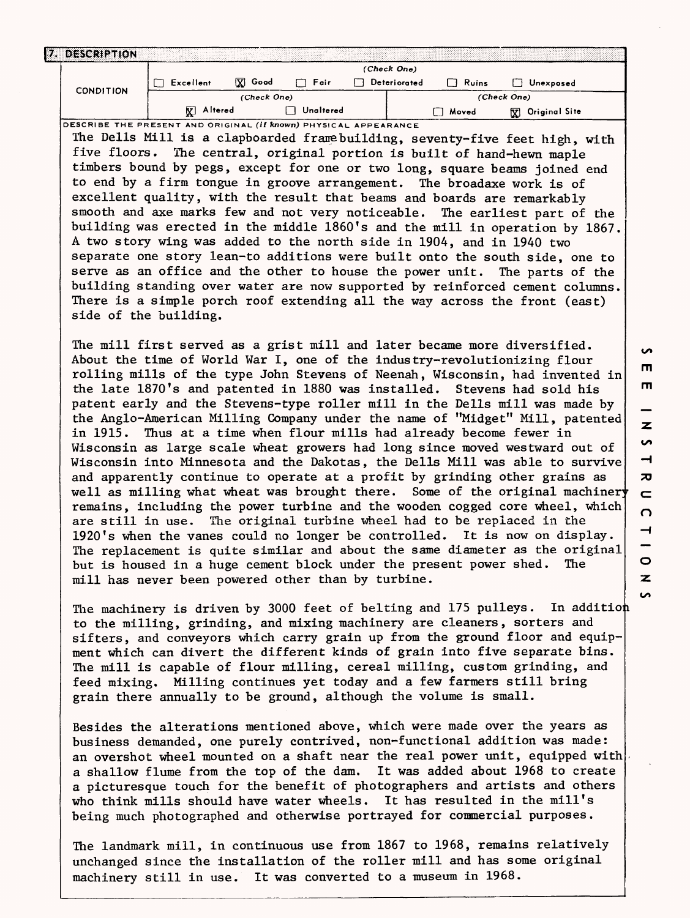| 17. | <b>DESCRIPTION</b> |              |             |           |  |              |       |                                             |  |  |  |
|-----|--------------------|--------------|-------------|-----------|--|--------------|-------|---------------------------------------------|--|--|--|
|     |                    | (Check One)  |             |           |  |              |       |                                             |  |  |  |
|     | <b>CONDITION</b>   | Excellent    | Good<br>⊠   | Foir      |  | Deteriorated | Ruins | Unexposed                                   |  |  |  |
|     |                    |              | (Check One) |           |  | (Check One)  |       |                                             |  |  |  |
|     |                    | Altered<br>Χ |             | Unaltered |  |              | Moved | Original Sit <del>e</del><br>$\pmb{\nabla}$ |  |  |  |

**DESCRIBE THE PRESENT AND ORIGINAL (If** *known***) PHYSICAL APPEARANCE** The Dells Mill is a clapboarded franebuilding, seventy-five feet high, with five floors. The central, original portion is built of hand-hewn maple timbers bound by pegs, except for one or two long, square beams joined end to end by a firm tongue in groove arrangement. The broadaxe work is of excellent quality, with the result that beams and boards are remarkably smooth and axe marks few and not very noticeable. The earliest part of the building was erected in the middle 1860's and the mill in operation by 1867. A two story wing was added to the north side in 1904, and in 1940 two separate one story lean-to additions were built onto the south side, one to serve as an office and the other to house the power unit. The parts of the building standing over water are now supported by reinforced cement columns. There is a simple porch roof extending all the way across the front (east) side of the building.

The mill first served as a grist mill and later became more diversified. About the time of World War I, one of the industry-revolutionizing flour rolling mills of the type John Stevens of Neenah, Wisconsin, had invented in the late 1870's and patented in 1880 was installed. Stevens had sold his patent early and the Stevens-type roller mill in the Dells mill was made by the Anglo-American Milling Company under the name of "Midget" Mill, patented in 1915. Thus at a time when flour mills had already become fewer in Wisconsin as large scale wheat growers had long since moved westward out of Wisconsin into Minnesota and the Dakotas, the Dells Mill was able to survive and apparently continue to operate at a profit by grinding other grains as well as milling what wheat was brought there. Some of the original machiner remains, including the power turbine and the wooden cogged core wheel, which are still in use. The original turbine wheel had to be replaced in the 1920's when the vanes could no longer be controlled. It is now on display. The replacement is quite similar and about the same diameter as the original but is housed in a huge cement block under the present power shed. The mill has never been powered other than by turbine.

The machinery is driven by 3000 feet of belting and 175 pulleys. In addition to the milling, grinding, and mixing machinery are cleaners, sorters and sifters, and conveyors which carry grain up from the ground floor and equipment which can divert the different kinds of grain into five separate bins. The mill is capable of flour milling, cereal milling, custom grinding, and feed mixing. Milling continues yet today and a few farmers still bring grain there annually to be ground, although the volume is small.

Besides the alterations mentioned above, which were made over the years as business demanded, one purely contrived, non-functional addition was made: an overshot wheel mounted on a shaft near the real power unit, equipped with a shallow flume from the top of the dam. It was added about 1968 to create a picturesque touch for the benefit of photographers and artists and others who think mills should have water wheels. It has resulted in the mill's being much photographed and otherwise portrayed for commercial purposes.

The landmark mill, in continuous use from 1867 to 1968, remains relatively unchanged since the installation of the roller mill and has some original machinery still in use. It was converted to a museum in 1968.

m m z **i H TO** $\subset$  $\Omega$  $\overline{\phantom{0}}$  $\circ$  $\mathbf{z}$ S

 $\bullet$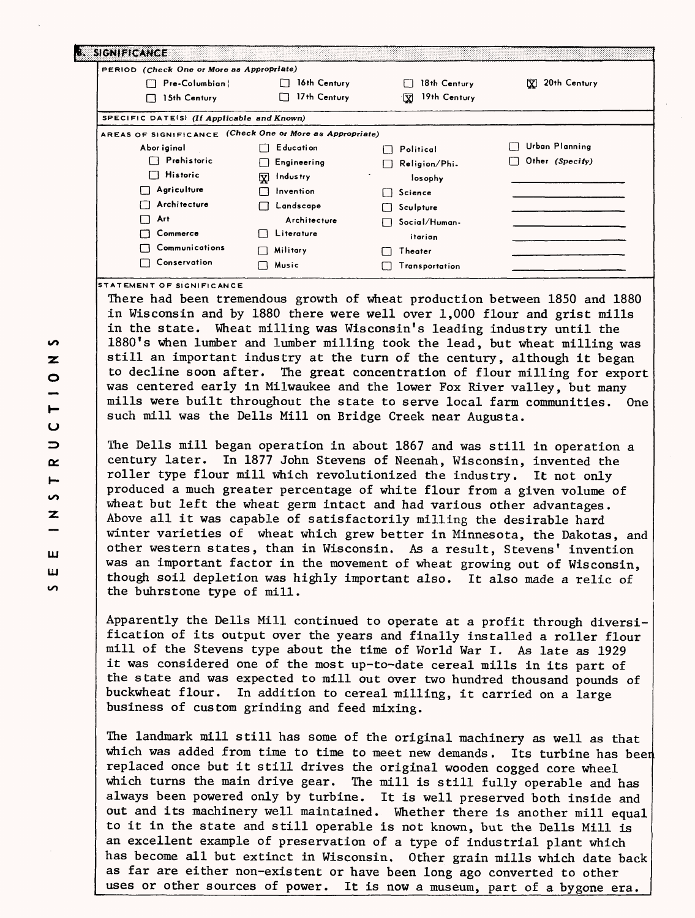| PERIOD (Check One or More as Appropriate)                |                          |                    |                   |
|----------------------------------------------------------|--------------------------|--------------------|-------------------|
| Pre-Columbian!<br>LJ.                                    | 16th Century             | 18th Century       | 20th Century<br>x |
| 15th Century<br>П                                        | 17th Century             | 19th Century<br>Δ. |                   |
| SPECIFIC DATE(S) (If Applicable and Known)               |                          |                    |                   |
| AREAS OF SIGNIFICANCE (Check One or More as Appropriate) |                          |                    |                   |
| Abor iginal                                              | Education<br>П           | Political<br>1 I   | Urban Planning    |
| Prehistoric                                              | Engineering<br>$\Box$    | Religion/Phi-      | Other (Specify)   |
| <b>Historic</b><br>ΓŁ                                    | Q.<br>Indus try          | losophy            |                   |
| Agriculture                                              | Invention<br>П           | Science            |                   |
| Architecture                                             | Landscape<br>⊓           | Sculpture          |                   |
| Art                                                      | Architecture             | Social/Human-      |                   |
| Commerce                                                 | Literature               | itarian            |                   |
| Communications                                           | Military<br>$\mathbf{L}$ | Theater            |                   |
| Conservation                                             | Music<br>$\blacksquare$  | Transportation     |                   |

**STATEMENT OF SIGNIFICANCE**

There had been tremendous growth of wheat production between 1850 and 1880 in Wisconsin and by 1880 there were well over 1,000 flour and grist mills in the state. Wheat milling was Wisconsin's leading industry until the 1880's when lumber and lumber milling took the lead, but wheat milling was still an important industry at the turn of the century, although it began to decline soon after. The great concentration of flour milling for export was centered early in Milwaukee and the lower Fox River valley, but many mills were built throughout the state to serve local farm communities. One such mill was the Dells Mill on Bridge Creek near Augusta.

The Dells mill began operation in about 1867 and was still in operation a century later. In 1877 John Stevens of Neenah, Wisconsin, invented the roller type flour mill which revolutionized the industry. It not only produced a much greater percentage of white flour from a given volume of wheat but left the wheat germ intact and had various other advantages. Above all it was capable of satisfactorily milling the desirable hard winter varieties of wheat which grew better in Minnesota, the Dakotas, and other western states, than in Wisconsin. As a result, Stevens' invention was an important factor in the movement of wheat growing out of Wisconsin, though soil depletion was highly important also. It also made a relic of the buhrstone type of mill.

Apparently the Dells Mill continued to operate at a profit through diversification of its output over the years and finally installed a roller flour mill of the Stevens type about the time of World War I. As late as 1929 it was considered one of the most up-to-date cereal mills in its part of the state and was expected to mill out over two hundred thousand pounds of buckwheat flour. In addition to cereal milling, it carried on a large business of custom grinding and feed mixing.

The landmark mill still has some of the original machinery as well as that which was added from time to time to meet new demands. Its turbine has been replaced once but it still drives the original wooden cogged core wheel which turns the main drive gear. The mill is still fully operable and has always been powered only by turbine. It is well preserved both inside and out and its machinery well maintained. Whether there is another mill equal to it in the state and still operable is not known, but the Dells Mill is an excellent example of preservation of a type of industrial plant which has become all but extinct in Wisconsin. Other grain mills which date back as far are either non-existent or have been long ago converted to other uses or other sources of power. It is now a museum, part of a bygone era.